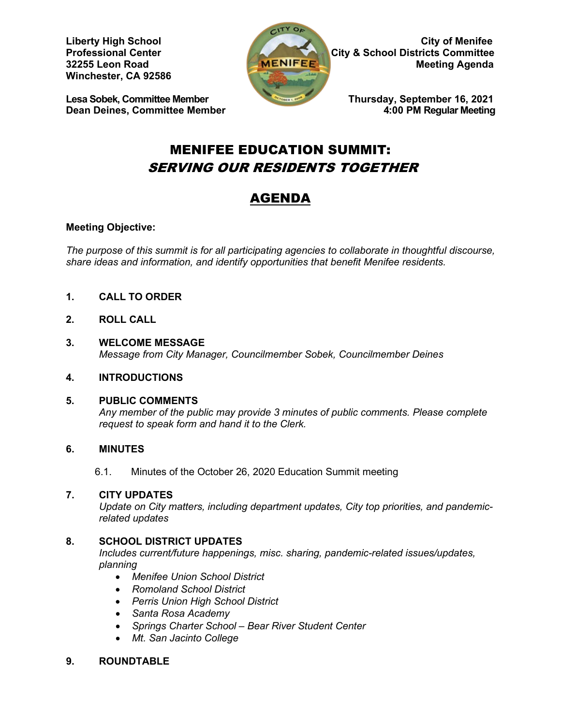**Winchester, CA 92586** 

**Lesa Sobek, Committee Member Thursday, September 16, 2021**<br>Dean Deines, Committee Member 4:00 PM Regular Meeting **Dean Deines, Committee Member** 



**Liberty High School City of Menifee Professional Center City & School Districts Committee 32255 Leon Road City & School Districts Committee 32255 Leon Road MEER AGENIFEER MEER AGENCIES** Meeting Agenda

# MENIFEE EDUCATION SUMMIT: SERVING OUR RESIDENTS TOGETHER

# AGENDA

# **Meeting Objective:**

*The purpose of this summit is for all participating agencies to collaborate in thoughtful discourse, share ideas and information, and identify opportunities that benefit Menifee residents.*

- **1. CALL TO ORDER**
- **2. ROLL CALL**
- **3. WELCOME MESSAGE** *Message from City Manager, Councilmember Sobek, Councilmember Deines*
- **4. INTRODUCTIONS**

# **5. PUBLIC COMMENTS**

*Any member of the public may provide 3 minutes of public comments. Please complete request to speak form and hand it to the Clerk.*

# **6. MINUTES**

6.1. Minutes of the October 26, 2020 Education Summit meeting

# **7. CITY UPDATES**

*Update on City matters, including department updates, City top priorities, and pandemicrelated updates*

# **8. SCHOOL DISTRICT UPDATES**

*Includes current/future happenings, misc. sharing, pandemic-related issues/updates, planning*

- *Menifee Union School District*
- *Romoland School District*
- *Perris Union High School District*
- *Santa Rosa Academy*
- *Springs Charter School – Bear River Student Center*
- *Mt. San Jacinto College*

## **9. ROUNDTABLE**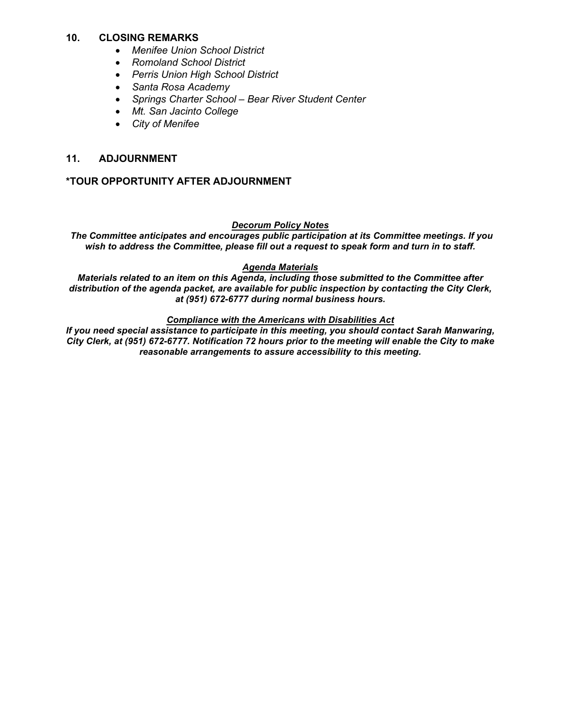### **10. CLOSING REMARKS**

- *Menifee Union School District*
- *Romoland School District*
- *Perris Union High School District*
- *Santa Rosa Academy*
- *Springs Charter School – Bear River Student Center*
- *Mt. San Jacinto College*
- *City of Menifee*

### **11. ADJOURNMENT**

### **\*TOUR OPPORTUNITY AFTER ADJOURNMENT**

#### *Decorum Policy Notes*

*The Committee anticipates and encourages public participation at its Committee meetings. If you wish to address the Committee, please fill out a request to speak form and turn in to staff.*

#### *Agenda Materials*

*Materials related to an item on this Agenda, including those submitted to the Committee after distribution of the agenda packet, are available for public inspection by contacting the City Clerk, at (951) 672-6777 during normal business hours.* 

#### *Compliance with the Americans with Disabilities Act*

*If you need special assistance to participate in this meeting, you should contact Sarah Manwaring, City Clerk, at (951) 672-6777. Notification 72 hours prior to the meeting will enable the City to make reasonable arrangements to assure accessibility to this meeting.*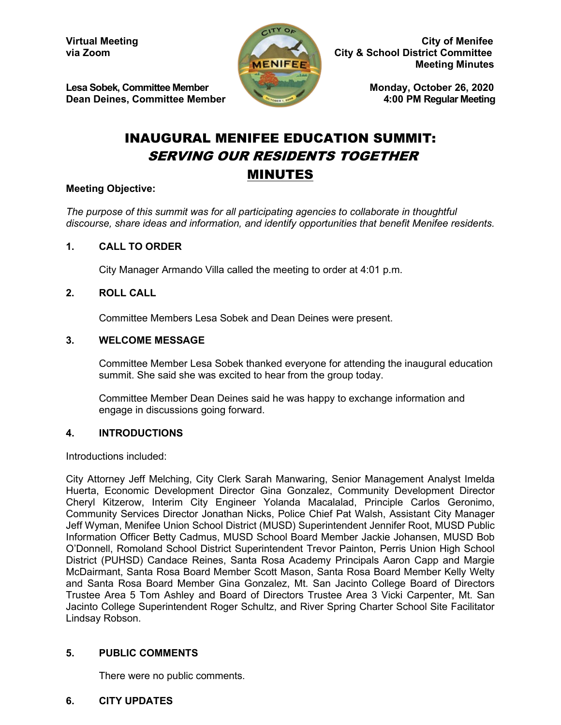

Virtual Meeting City of Menifee<br>via Zoom City of Menifee City & School District Committee **City & School District Committee Meeting Minutes**

Lesa Sobek, Committee Member Monday, October 26, 2020<br>Dean Deines, Committee Member 4:00 PM Reqular Meeting

# INAUGURAL MENIFEE EDUCATION SUMMIT: SERVING OUR RESIDENTS TOGETHER MINUTES

 $-1$ TY OA

## **Meeting Objective:**

*The purpose of this summit was for all participating agencies to collaborate in thoughtful discourse, share ideas and information, and identify opportunities that benefit Menifee residents.*

## **1. CALL TO ORDER**

City Manager Armando Villa called the meeting to order at 4:01 p.m.

## **2. ROLL CALL**

Committee Members Lesa Sobek and Dean Deines were present.

### **3. WELCOME MESSAGE**

Committee Member Lesa Sobek thanked everyone for attending the inaugural education summit. She said she was excited to hear from the group today.

Committee Member Dean Deines said he was happy to exchange information and engage in discussions going forward.

### **4. INTRODUCTIONS**

Introductions included:

City Attorney Jeff Melching, City Clerk Sarah Manwaring, Senior Management Analyst Imelda Huerta, Economic Development Director Gina Gonzalez, Community Development Director Cheryl Kitzerow, Interim City Engineer Yolanda Macalalad, Principle Carlos Geronimo, Community Services Director Jonathan Nicks, Police Chief Pat Walsh, Assistant City Manager Jeff Wyman, Menifee Union School District (MUSD) Superintendent Jennifer Root, MUSD Public Information Officer Betty Cadmus, MUSD School Board Member Jackie Johansen, MUSD Bob O'Donnell, Romoland School District Superintendent Trevor Painton, Perris Union High School District (PUHSD) Candace Reines, Santa Rosa Academy Principals Aaron Capp and Margie McDairmant, Santa Rosa Board Member Scott Mason, Santa Rosa Board Member Kelly Welty and Santa Rosa Board Member Gina Gonzalez, Mt. San Jacinto College Board of Directors Trustee Area 5 Tom Ashley and Board of Directors Trustee Area 3 Vicki Carpenter, Mt. San Jacinto College Superintendent Roger Schultz, and River Spring Charter School Site Facilitator Lindsay Robson.

## **5. PUBLIC COMMENTS**

There were no public comments.

## **6. CITY UPDATES**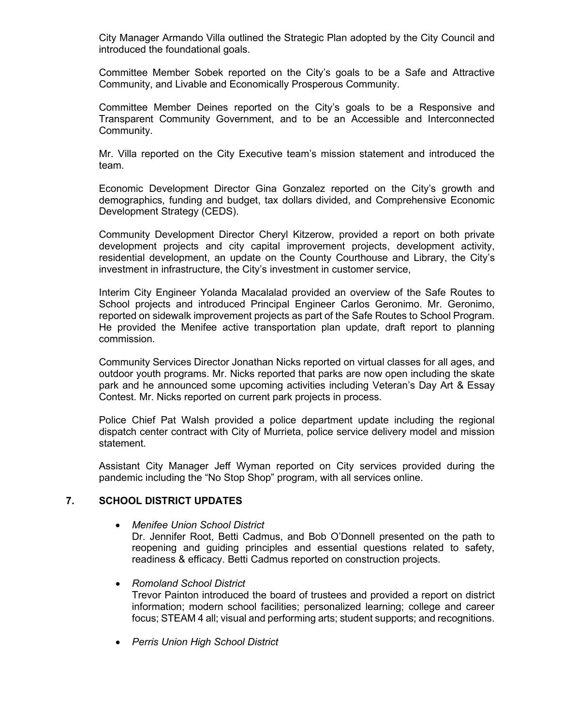City Manager Armando Villa outlined the Strategic Plan adopted by the City Council and introduced the foundational goals.

Committee Member Sobek reported on the City's goals to be a Safe and Attractive Community, and Livable and Economically Prosperous Community.

Committee Member Deines reported on the City's goals to be a Responsive and Transparent Community Government, and to be an Accessible and Interconnected Community.

Mr. Villa reported on the City Executive team's mission statement and introduced the team.

Economic Development Director Gina Gonzalez reported on the City's growth and demographics, funding and budget, tax dollars divided, and Comprehensive Economic Development Strategy (CEDS).

Community Development Director Cheryl Kitzerow, provided a report on both private development projects and city capital improvement projects, development activity, residential development, an update on the County Courthouse and Library, the City's investment in infrastructure, the City's investment in customer service,

Interim City Engineer Yolanda Macalalad provided an overview of the Safe Routes to School projects and introduced Principal Engineer Carlos Geronimo. Mr. Geronimo, reported on sidewalk improvement projects as part of the Safe Routes to School Program. He provided the Menifee active transportation plan update, draft report to planning commission.

Community Services Director Jonathan Nicks reported on virtual classes for all ages, and outdoor youth programs. Mr. Nicks reported that parks are now open including the skate park and he announced some upcoming activities including Veteran's Day Art & Essay Contest. Mr. Nicks reported on current park projects in process.

Police Chief Pat Walsh provided a police department update including the regional dispatch center contract with City of Murrieta, police service delivery model and mission statement.

Assistant City Manager Jeff Wyman reported on City services provided during the pandemic including the "No Stop Shop" program, with all services online.

## **7. SCHOOL DISTRICT UPDATES**

• *Menifee Union School District*

Dr. Jennifer Root, Betti Cadmus, and Bob O'Donnell presented on the path to reopening and guiding principles and essential questions related to safety, readiness & efficacy. Betti Cadmus reported on construction projects.

- *Romoland School District* Trevor Painton introduced the board of trustees and provided a report on district information; modern school facilities; personalized learning; college and career focus; STEAM 4 all; visual and performing arts; student supports; and recognitions.
- *Perris Union High School District*